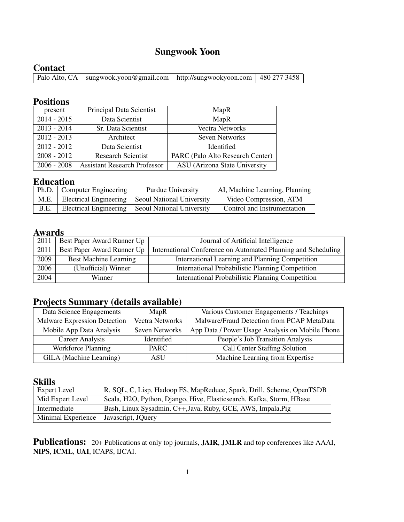### Sungwook Yoon

**Contact**<br>Palo Alto, CA sungwook.yoon@gmail.com http://sungwookyoon.com | 480 277 3458

#### Positions

| present       | Principal Data Scientist            | MapR                             |
|---------------|-------------------------------------|----------------------------------|
| $2014 - 2015$ | Data Scientist                      | MapR                             |
| $2013 - 2014$ | Sr. Data Scientist                  | Vectra Networks                  |
| $2012 - 2013$ | Architect                           | Seven Networks                   |
| $2012 - 2012$ | Data Scientist                      | Identified                       |
| $2008 - 2012$ | <b>Research Scientist</b>           | PARC (Palo Alto Research Center) |
| $2006 - 2008$ | <b>Assistant Research Professor</b> | ASU (Arizona State University    |

#### Education

|      | Ph.D.   Computer Engineering | <b>Purdue University</b>                           | AI, Machine Learning, Planning |
|------|------------------------------|----------------------------------------------------|--------------------------------|
| M.E. |                              | Electrical Engineering   Seoul National University | Video Compression, ATM         |
| B.E. | Electrical Engineering       | <b>Seoul National University</b>                   | Control and Instrumentation    |

#### Awards

| 2011 | Best Paper Award Runner Up   | Journal of Artificial Intelligence                            |
|------|------------------------------|---------------------------------------------------------------|
| 2011 | Best Paper Award Runner Up   | International Conference on Automated Planning and Scheduling |
| 2009 | <b>Best Machine Learning</b> | International Learning and Planning Competition               |
| 2006 | (Unofficial) Winner          | International Probabilistic Planning Competition              |
| 2004 | Winner                       | International Probabilistic Planning Competition              |

### Projects Summary (details available)

| Data Science Engagements     | MapR            | Various Customer Engagements / Teachings        |
|------------------------------|-----------------|-------------------------------------------------|
| Malware Expression Detection | Vectra Networks | Malware/Fraud Detection from PCAP MetaData      |
| Mobile App Data Analysis     | Seven Networks  | App Data / Power Usage Analysis on Mobile Phone |
| <b>Career Analysis</b>       | Identified      | People's Job Transition Analysis                |
| <b>Workforce Planning</b>    | <b>PARC</b>     | <b>Call Center Staffing Solution</b>            |
| GILA (Machine Learning)      | ASU             | Machine Learning from Expertise                 |

#### Skills

| <b>Expert Level</b> | R, SQL, C, Lisp, Hadoop FS, MapReduce, Spark, Drill, Scheme, OpenTSDB |
|---------------------|-----------------------------------------------------------------------|
| Mid Expert Level    | Scala, H2O, Python, Django, Hive, Elasticsearch, Kafka, Storm, HBase  |
| Intermediate        | Bash, Linux Sysadmin, C++, Java, Ruby, GCE, AWS, Impala, Pig          |
| Minimal Experience  | Javascript, JOuery                                                    |

Publications: 20+ Publications at only top journals, JAIR, JMLR and top conferences like AAAI, NIPS, ICML, UAI, ICAPS, IJCAI.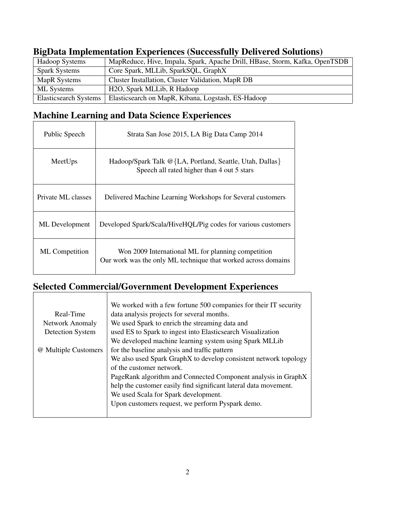| Hadoop Systems               | MapReduce, Hive, Impala, Spark, Apache Drill, HBase, Storm, Kafka, OpenTSDB |
|------------------------------|-----------------------------------------------------------------------------|
| <b>Spark Systems</b>         | Core Spark, MLLib, SparkSQL, GraphX                                         |
| MapR Systems                 | Cluster Installation, Cluster Validation, MapR DB                           |
| ML Systems                   | H <sub>2</sub> O, Spark MLLib, R Hadoop                                     |
| <b>Elasticsearch Systems</b> | Elasticsearch on MapR, Kibana, Logstash, ES-Hadoop                          |

 $\overline{\phantom{0}}$ 

#### BigData Implementation Experiences (Successfully Delivered Solutions)

# Machine Learning and Data Science Experiences

| Public Speech         | Strata San Jose 2015, LA Big Data Camp 2014                                                                         |
|-----------------------|---------------------------------------------------------------------------------------------------------------------|
| MeetUps               | Hadoop/Spark Talk @{LA, Portland, Seattle, Utah, Dallas}<br>Speech all rated higher than 4 out 5 stars              |
| Private ML classes    | Delivered Machine Learning Workshops for Several customers                                                          |
| ML Development        | Developed Spark/Scala/HiveHQL/Pig codes for various customers                                                       |
| <b>ML</b> Competition | Won 2009 International ML for planning competition<br>Our work was the only ML technique that worked across domains |

## Selected Commercial/Government Development Experiences

|                        | We worked with a few fortune 500 companies for their IT security |
|------------------------|------------------------------------------------------------------|
| Real-Time              | data analysis projects for several months.                       |
| <b>Network Anomaly</b> | We used Spark to enrich the streaming data and                   |
| Detection System       | used ES to Spark to ingest into Elasticsearch Visualization      |
|                        | We developed machine learning system using Spark MLLib           |
| @ Multiple Customers   | for the baseline analysis and traffic pattern                    |
|                        | We also used Spark GraphX to develop consistent network topology |
|                        | of the customer network.                                         |
|                        | PageRank algorithm and Connected Component analysis in GraphX    |
|                        | help the customer easily find significant lateral data movement. |
|                        | We used Scala for Spark development.                             |
|                        | Upon customers request, we perform Pyspark demo.                 |
|                        |                                                                  |
|                        |                                                                  |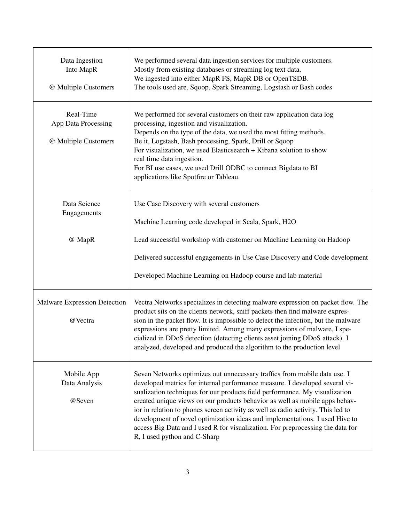| Data Ingestion<br>Into MapR<br>@ Multiple Customers      | We performed several data ingestion services for multiple customers.<br>Mostly from existing databases or streaming log text data,<br>We ingested into either MapR FS, MapR DB or OpenTSDB.<br>The tools used are, Sqoop, Spark Streaming, Logstash or Bash codes                                                                                                                                                                                                                                                                                                                                           |
|----------------------------------------------------------|-------------------------------------------------------------------------------------------------------------------------------------------------------------------------------------------------------------------------------------------------------------------------------------------------------------------------------------------------------------------------------------------------------------------------------------------------------------------------------------------------------------------------------------------------------------------------------------------------------------|
| Real-Time<br>App Data Processing<br>@ Multiple Customers | We performed for several customers on their raw application data log<br>processing, ingestion and visualization.<br>Depends on the type of the data, we used the most fitting methods.<br>Be it, Logstash, Bash processing, Spark, Drill or Sqoop<br>For visualization, we used Elasticsearch + Kibana solution to show<br>real time data ingestion.<br>For BI use cases, we used Drill ODBC to connect Bigdata to BI<br>applications like Spotfire or Tableau.                                                                                                                                             |
| Data Science<br>Engagements                              | Use Case Discovery with several customers<br>Machine Learning code developed in Scala, Spark, H2O                                                                                                                                                                                                                                                                                                                                                                                                                                                                                                           |
| @ MapR                                                   | Lead successful workshop with customer on Machine Learning on Hadoop                                                                                                                                                                                                                                                                                                                                                                                                                                                                                                                                        |
|                                                          | Delivered successful engagements in Use Case Discovery and Code development                                                                                                                                                                                                                                                                                                                                                                                                                                                                                                                                 |
|                                                          | Developed Machine Learning on Hadoop course and lab material                                                                                                                                                                                                                                                                                                                                                                                                                                                                                                                                                |
| <b>Malware Expression Detection</b><br>@Vectra           | Vectra Networks specializes in detecting malware expression on packet flow. The<br>product sits on the clients network, sniff packets then find malware expres-<br>sion in the packet flow. It is impossible to detect the infection, but the malware<br>expressions are pretty limited. Among many expressions of malware, I spe-<br>cialized in DDoS detection (detecting clients asset joining DDoS attack). I<br>analyzed, developed and produced the algorithm to the production level                                                                                                                 |
| Mobile App<br>Data Analysis<br>@Seven                    | Seven Networks optimizes out unnecessary traffics from mobile data use. I<br>developed metrics for internal performance measure. I developed several vi-<br>sualization techniques for our products field performance. My visualization<br>created unique views on our products behavior as well as mobile apps behav-<br>ior in relation to phones screen activity as well as radio activity. This led to<br>development of novel optimization ideas and implementations. I used Hive to<br>access Big Data and I used R for visualization. For preprocessing the data for<br>R, I used python and C-Sharp |